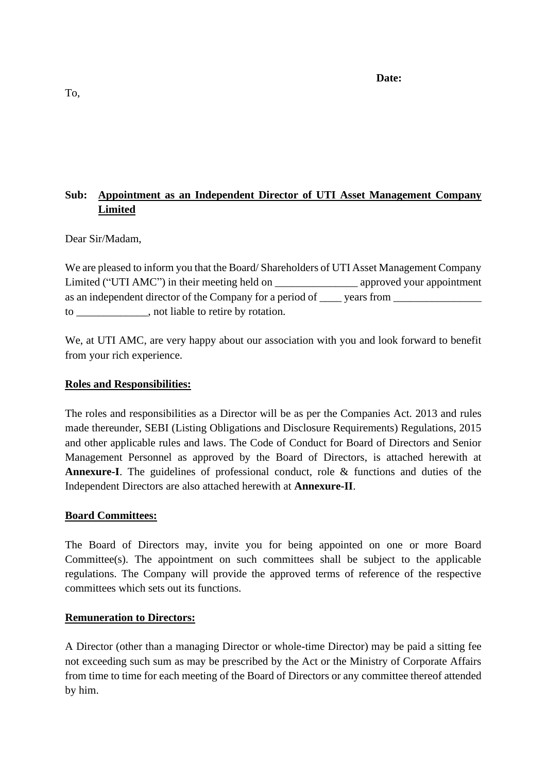#### **Date:**

# **Sub: Appointment as an Independent Director of UTI Asset Management Company Limited**

## Dear Sir/Madam,

We are pleased to inform you that the Board/ Shareholders of UTI Asset Management Company Limited ("UTI AMC") in their meeting held on \_\_\_\_\_\_\_\_\_\_\_\_\_\_\_\_\_\_\_\_\_ approved your appointment as an independent director of the Company for a period of vears from to \_\_\_\_\_\_\_\_\_\_\_\_\_, not liable to retire by rotation.

We, at UTI AMC, are very happy about our association with you and look forward to benefit from your rich experience.

## **Roles and Responsibilities:**

The roles and responsibilities as a Director will be as per the Companies Act. 2013 and rules made thereunder, SEBI (Listing Obligations and Disclosure Requirements) Regulations, 2015 and other applicable rules and laws. The Code of Conduct for Board of Directors and Senior Management Personnel as approved by the Board of Directors, is attached herewith at **Annexure-I**. The guidelines of professional conduct, role & functions and duties of the Independent Directors are also attached herewith at **Annexure-II**.

#### **Board Committees:**

The Board of Directors may, invite you for being appointed on one or more Board Committee(s). The appointment on such committees shall be subject to the applicable regulations. The Company will provide the approved terms of reference of the respective committees which sets out its functions.

#### **Remuneration to Directors:**

A Director (other than a managing Director or whole-time Director) may be paid a sitting fee not exceeding such sum as may be prescribed by the Act or the Ministry of Corporate Affairs from time to time for each meeting of the Board of Directors or any committee thereof attended by him.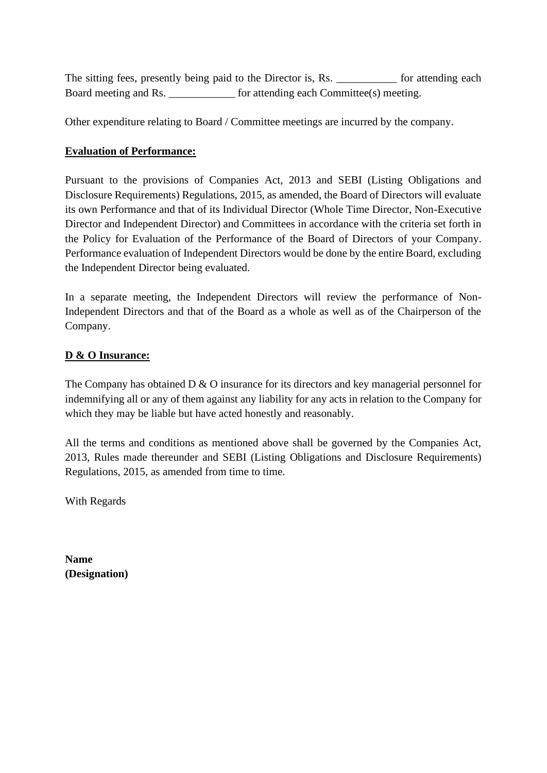The sitting fees, presently being paid to the Director is, Rs. \_\_\_\_\_\_\_\_\_\_\_\_ for attending each Board meeting and Rs. \_\_\_\_\_\_\_\_\_\_\_\_\_ for attending each Committee(s) meeting.

Other expenditure relating to Board / Committee meetings are incurred by the company.

## **Evaluation of Performance:**

Pursuant to the provisions of Companies Act, 2013 and SEBI (Listing Obligations and Disclosure Requirements) Regulations, 2015, as amended, the Board of Directors will evaluate its own Performance and that of its Individual Director (Whole Time Director, Non-Executive Director and Independent Director) and Committees in accordance with the criteria set forth in the Policy for Evaluation of the Performance of the Board of Directors of your Company. Performance evaluation of Independent Directors would be done by the entire Board, excluding the Independent Director being evaluated.

In a separate meeting, the Independent Directors will review the performance of Non-Independent Directors and that of the Board as a whole as well as of the Chairperson of the Company.

## **D & O Insurance:**

The Company has obtained D & O insurance for its directors and key managerial personnel for indemnifying all or any of them against any liability for any acts in relation to the Company for which they may be liable but have acted honestly and reasonably.

All the terms and conditions as mentioned above shall be governed by the Companies Act, 2013, Rules made thereunder and SEBI (Listing Obligations and Disclosure Requirements) Regulations, 2015, as amended from time to time.

With Regards

**Name (Designation)**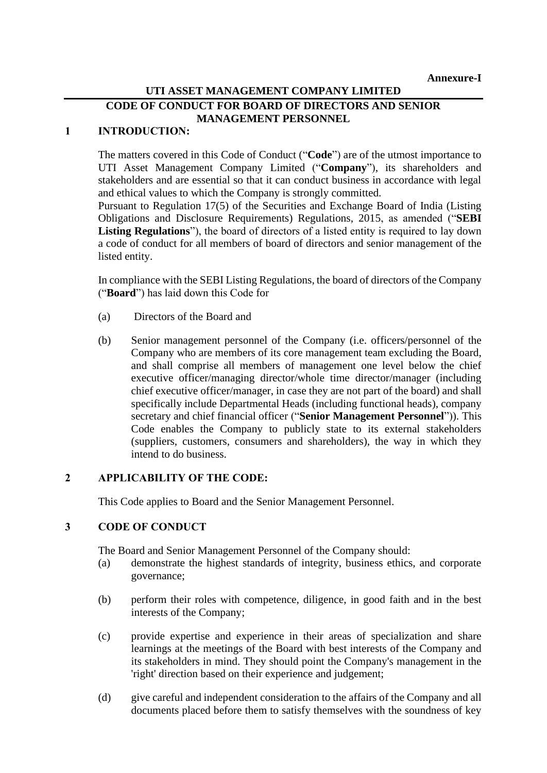## **UTI ASSET MANAGEMENT COMPANY LIMITED**

## **CODE OF CONDUCT FOR BOARD OF DIRECTORS AND SENIOR MANAGEMENT PERSONNEL**

## **1 INTRODUCTION:**

The matters covered in this Code of Conduct ("**Code**") are of the utmost importance to UTI Asset Management Company Limited ("**Company**"), its shareholders and stakeholders and are essential so that it can conduct business in accordance with legal and ethical values to which the Company is strongly committed.

Pursuant to Regulation 17(5) of the Securities and Exchange Board of India (Listing Obligations and Disclosure Requirements) Regulations, 2015, as amended ("**SEBI Listing Regulations**"), the board of directors of a listed entity is required to lay down a code of conduct for all members of board of directors and senior management of the listed entity.

In compliance with the SEBI Listing Regulations, the board of directors of the Company ("**Board**") has laid down this Code for

- (a) Directors of the Board and
- (b) Senior management personnel of the Company (i.e. officers/personnel of the Company who are members of its core management team excluding the Board, and shall comprise all members of management one level below the chief executive officer/managing director/whole time director/manager (including chief executive officer/manager, in case they are not part of the board) and shall specifically include Departmental Heads (including functional heads), company secretary and chief financial officer ("**Senior Management Personnel**")). This Code enables the Company to publicly state to its external stakeholders (suppliers, customers, consumers and shareholders), the way in which they intend to do business.

#### **2 APPLICABILITY OF THE CODE:**

This Code applies to Board and the Senior Management Personnel.

#### **3 CODE OF CONDUCT**

The Board and Senior Management Personnel of the Company should:

- (a) demonstrate the highest standards of integrity, business ethics, and corporate governance;
- (b) perform their roles with competence, diligence, in good faith and in the best interests of the Company;
- (c) provide expertise and experience in their areas of specialization and share learnings at the meetings of the Board with best interests of the Company and its stakeholders in mind. They should point the Company's management in the 'right' direction based on their experience and judgement;
- (d) give careful and independent consideration to the affairs of the Company and all documents placed before them to satisfy themselves with the soundness of key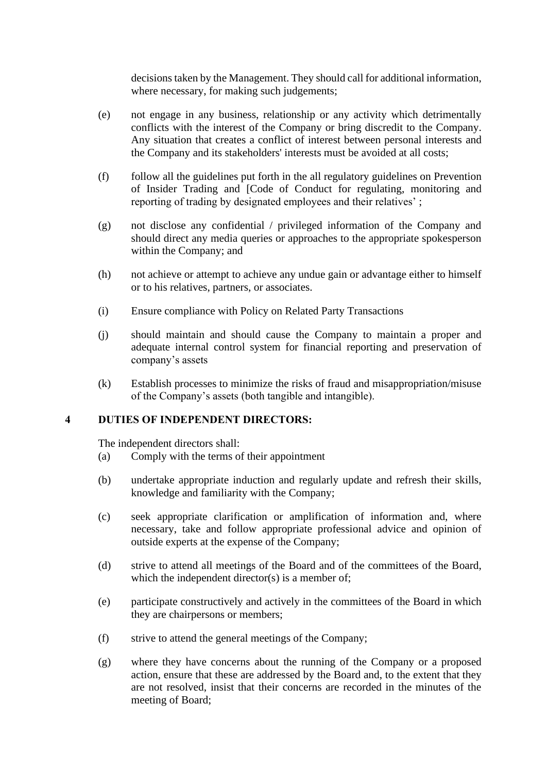decisions taken by the Management. They should call for additional information, where necessary, for making such judgements;

- (e) not engage in any business, relationship or any activity which detrimentally conflicts with the interest of the Company or bring discredit to the Company. Any situation that creates a conflict of interest between personal interests and the Company and its stakeholders' interests must be avoided at all costs;
- (f) follow all the guidelines put forth in the all regulatory guidelines on Prevention of Insider Trading and [Code of Conduct for regulating, monitoring and reporting of trading by designated employees and their relatives' ;
- (g) not disclose any confidential / privileged information of the Company and should direct any media queries or approaches to the appropriate spokesperson within the Company; and
- (h) not achieve or attempt to achieve any undue gain or advantage either to himself or to his relatives, partners, or associates.
- (i) Ensure compliance with Policy on Related Party Transactions
- (j) should maintain and should cause the Company to maintain a proper and adequate internal control system for financial reporting and preservation of company's assets
- (k) Establish processes to minimize the risks of fraud and misappropriation/misuse of the Company's assets (both tangible and intangible).

#### **4 DUTIES OF INDEPENDENT DIRECTORS:**

The independent directors shall:

- (a) Comply with the terms of their appointment
- (b) undertake appropriate induction and regularly update and refresh their skills, knowledge and familiarity with the Company;
- (c) seek appropriate clarification or amplification of information and, where necessary, take and follow appropriate professional advice and opinion of outside experts at the expense of the Company;
- (d) strive to attend all meetings of the Board and of the committees of the Board, which the independent director(s) is a member of;
- (e) participate constructively and actively in the committees of the Board in which they are chairpersons or members;
- (f) strive to attend the general meetings of the Company;
- (g) where they have concerns about the running of the Company or a proposed action, ensure that these are addressed by the Board and, to the extent that they are not resolved, insist that their concerns are recorded in the minutes of the meeting of Board;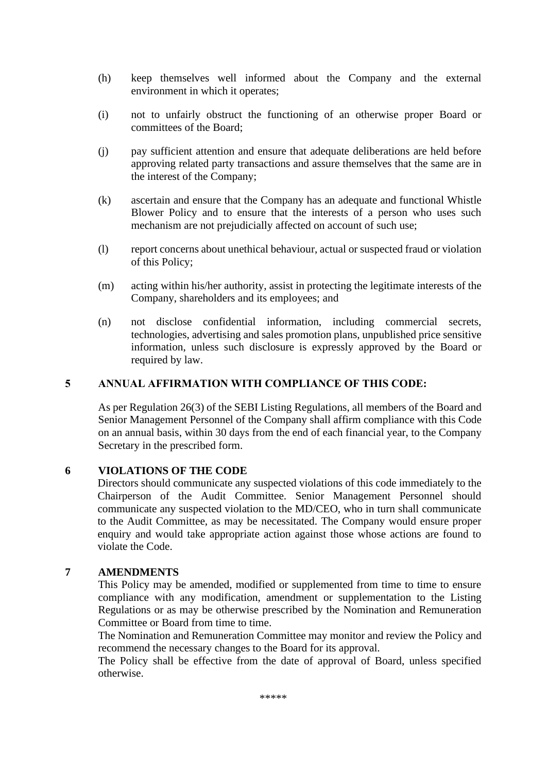- (h) keep themselves well informed about the Company and the external environment in which it operates;
- (i) not to unfairly obstruct the functioning of an otherwise proper Board or committees of the Board;
- (j) pay sufficient attention and ensure that adequate deliberations are held before approving related party transactions and assure themselves that the same are in the interest of the Company;
- (k) ascertain and ensure that the Company has an adequate and functional Whistle Blower Policy and to ensure that the interests of a person who uses such mechanism are not prejudicially affected on account of such use;
- (l) report concerns about unethical behaviour, actual or suspected fraud or violation of this Policy;
- (m) acting within his/her authority, assist in protecting the legitimate interests of the Company, shareholders and its employees; and
- (n) not disclose confidential information, including commercial secrets, technologies, advertising and sales promotion plans, unpublished price sensitive information, unless such disclosure is expressly approved by the Board or required by law.

#### **5 ANNUAL AFFIRMATION WITH COMPLIANCE OF THIS CODE:**

As per Regulation 26(3) of the SEBI Listing Regulations, all members of the Board and Senior Management Personnel of the Company shall affirm compliance with this Code on an annual basis, within 30 days from the end of each financial year, to the Company Secretary in the prescribed form.

#### **6 VIOLATIONS OF THE CODE**

Directors should communicate any suspected violations of this code immediately to the Chairperson of the Audit Committee. Senior Management Personnel should communicate any suspected violation to the MD/CEO, who in turn shall communicate to the Audit Committee, as may be necessitated. The Company would ensure proper enquiry and would take appropriate action against those whose actions are found to violate the Code.

#### **7 AMENDMENTS**

This Policy may be amended, modified or supplemented from time to time to ensure compliance with any modification, amendment or supplementation to the Listing Regulations or as may be otherwise prescribed by the Nomination and Remuneration Committee or Board from time to time.

The Nomination and Remuneration Committee may monitor and review the Policy and recommend the necessary changes to the Board for its approval.

The Policy shall be effective from the date of approval of Board, unless specified otherwise.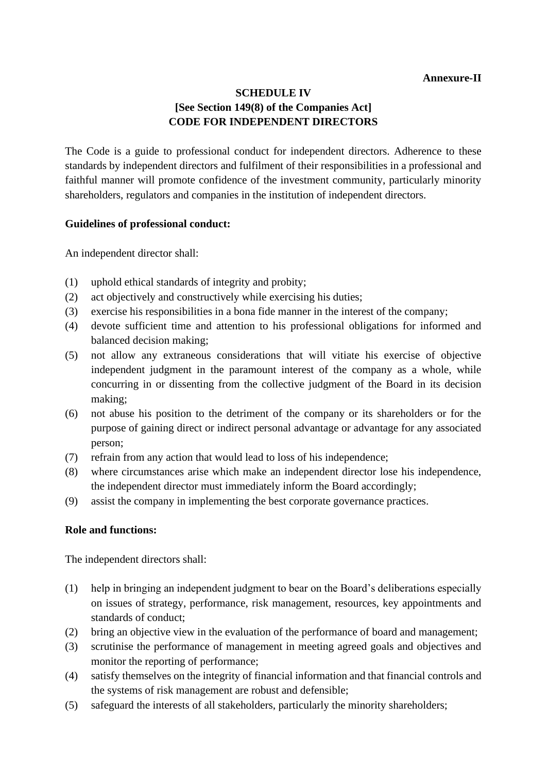### **Annexure-II**

## **SCHEDULE IV [See Section 149(8) of the Companies Act] CODE FOR INDEPENDENT DIRECTORS**

The Code is a guide to professional conduct for independent directors. Adherence to these standards by independent directors and fulfilment of their responsibilities in a professional and faithful manner will promote confidence of the investment community, particularly minority shareholders, regulators and companies in the institution of independent directors.

## **Guidelines of professional conduct:**

An independent director shall:

- (1) uphold ethical standards of integrity and probity;
- (2) act objectively and constructively while exercising his duties;
- (3) exercise his responsibilities in a bona fide manner in the interest of the company;
- (4) devote sufficient time and attention to his professional obligations for informed and balanced decision making;
- (5) not allow any extraneous considerations that will vitiate his exercise of objective independent judgment in the paramount interest of the company as a whole, while concurring in or dissenting from the collective judgment of the Board in its decision making;
- (6) not abuse his position to the detriment of the company or its shareholders or for the purpose of gaining direct or indirect personal advantage or advantage for any associated person;
- (7) refrain from any action that would lead to loss of his independence;
- (8) where circumstances arise which make an independent director lose his independence, the independent director must immediately inform the Board accordingly;
- (9) assist the company in implementing the best corporate governance practices.

## **Role and functions:**

The independent directors shall:

- (1) help in bringing an independent judgment to bear on the Board's deliberations especially on issues of strategy, performance, risk management, resources, key appointments and standards of conduct;
- (2) bring an objective view in the evaluation of the performance of board and management;
- (3) scrutinise the performance of management in meeting agreed goals and objectives and monitor the reporting of performance;
- (4) satisfy themselves on the integrity of financial information and that financial controls and the systems of risk management are robust and defensible;
- (5) safeguard the interests of all stakeholders, particularly the minority shareholders;